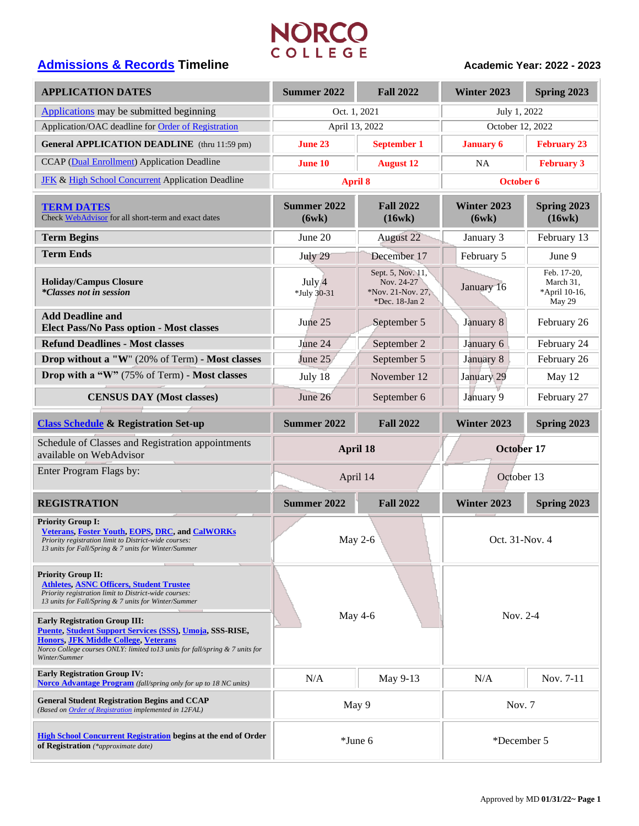# **[Admissions & Records](https://www.norcocollege.edu/services/enrollment/admissions/Pages/index.aspx) Timeline**<br> **Admissions & Records Timeline**<br> **Academic Year: 2022 - 2023**

| <b>APPLICATION DATES</b>                                                                                                                                                                                                                         | <b>Summer 2022</b>    | <b>Fall 2022</b>                                                       | Winter 2023          | Spring 2023                                         |
|--------------------------------------------------------------------------------------------------------------------------------------------------------------------------------------------------------------------------------------------------|-----------------------|------------------------------------------------------------------------|----------------------|-----------------------------------------------------|
| Applications may be submitted beginning                                                                                                                                                                                                          | Oct. 1, 2021          |                                                                        | July 1, 2022         |                                                     |
| Application/OAC deadline for Order of Registration                                                                                                                                                                                               | April 13, 2022        |                                                                        | October 12, 2022     |                                                     |
| <b>General APPLICATION DEADLINE</b> (thru 11:59 pm)                                                                                                                                                                                              | June 23               | <b>September 1</b>                                                     | <b>January 6</b>     | <b>February 23</b>                                  |
| CCAP (Dual Enrollment) Application Deadline                                                                                                                                                                                                      | <b>June 10</b>        | <b>August 12</b>                                                       | NA.                  | <b>February 3</b>                                   |
| <b>JFK &amp; High School Concurrent Application Deadline</b>                                                                                                                                                                                     | <b>April 8</b>        |                                                                        | October 6            |                                                     |
| <b>TERM DATES</b><br>Check WebAdvisor for all short-term and exact dates                                                                                                                                                                         | Summer 2022<br>(6wk)  | <b>Fall 2022</b><br>(16wk)                                             | Winter 2023<br>(6wk) | Spring 2023<br>(16wk)                               |
| <b>Term Begins</b>                                                                                                                                                                                                                               | June 20               | <b>August 22</b>                                                       | January 3            | February 13                                         |
| <b>Term Ends</b>                                                                                                                                                                                                                                 | July 29               | December 17                                                            | February 5           | June 9                                              |
| <b>Holiday/Campus Closure</b><br><i>*Classes not in session</i>                                                                                                                                                                                  | July 4<br>*July 30-31 | Sept. 5, Nov. 11,<br>Nov. 24-27<br>*Nov. 21-Nov. 27,<br>*Dec. 18-Jan 2 | January 16           | Feb. 17-20,<br>March 31,<br>*April 10-16,<br>May 29 |
| <b>Add Deadline and</b><br>Elect Pass/No Pass option - Most classes                                                                                                                                                                              | June 25               | September 5                                                            | January 8            | February 26                                         |
| <b>Refund Deadlines - Most classes</b>                                                                                                                                                                                                           | June 24               | September 2                                                            | January 6            | February 24                                         |
| Drop without a "W" (20% of Term) - Most classes                                                                                                                                                                                                  | June 25               | September 5                                                            | January 8            | February 26                                         |
| Drop with a "W" (75% of Term) - Most classes                                                                                                                                                                                                     | July 18               | November 12                                                            | January 29           | May 12                                              |
| <b>CENSUS DAY (Most classes)</b>                                                                                                                                                                                                                 | June 26               | September 6                                                            | January 9            | February 27                                         |
| <b>Class Schedule &amp; Registration Set-up</b>                                                                                                                                                                                                  | <b>Summer 2022</b>    | <b>Fall 2022</b>                                                       | Winter 2023          | Spring 2023                                         |
| Schedule of Classes and Registration appointments<br>available on WebAdvisor                                                                                                                                                                     | April 18              |                                                                        | October 17           |                                                     |
| Enter Program Flags by:                                                                                                                                                                                                                          | April 14              |                                                                        | October 13           |                                                     |
| <b>REGISTRATION</b>                                                                                                                                                                                                                              | <b>Summer 2022</b>    | <b>Fall 2022</b>                                                       | Winter 2023          | Spring 2023                                         |
| <b>Priority Group I:</b><br><b>Veterans, Foster Youth, EOPS, DRC, and CalWORKs</b><br>Priority registration limit to District-wide courses:<br>13 units for Fall/Spring & 7 units for Winter/Summer                                              | May 2-6               |                                                                        | Oct. 31-Nov. 4       |                                                     |
| <b>Priority Group II:</b><br><b>Athletes, ASNC Officers, Student Trustee</b><br>Priority registration limit to District-wide courses:<br>13 units for Fall/Spring & 7 units for Winter/Summer                                                    |                       |                                                                        |                      |                                                     |
| <b>Early Registration Group III:</b><br>Puente, Student Support Services (SSS), Umoja, SSS-RISE,<br><b>Honors, JFK Middle College, Veterans</b><br>Norco College courses ONLY: limited to13 units for fall/spring & 7 units for<br>Winter/Summer | May 4-6               |                                                                        | Nov. 2-4             |                                                     |
| <b>Early Registration Group IV:</b><br><b>Norco Advantage Program</b> (fall/spring only for up to 18 NC units)                                                                                                                                   | N/A                   | May 9-13                                                               | N/A                  | Nov. 7-11                                           |
| <b>General Student Registration Begins and CCAP</b><br>(Based on Order of Registration implemented in 12FAL)                                                                                                                                     | May 9                 |                                                                        | Nov. 7               |                                                     |
| <b>High School Concurrent Registration begins at the end of Order</b><br>of Registration (*approximate date)                                                                                                                                     | *June 6               |                                                                        | *December 5          |                                                     |